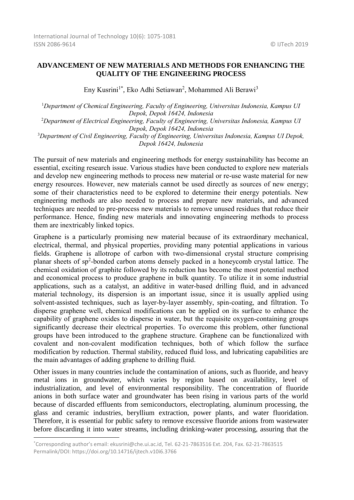## **ADVANCEMENT OF NEW MATERIALS AND METHODS FOR ENHANCING THE QUALITY OF THE ENGINEERING PROCESS**

Eny Kusrini<sup>1\*</sup>, Eko Adhi Setiawan<sup>2</sup>, Mohammed Ali Berawi<sup>3</sup>

<sup>1</sup>*Department of Chemical Engineering, Faculty of Engineering, Universitas Indonesia, Kampus UI Depok, Depok 16424, Indonesia*

<sup>2</sup>*Department of Electrical Engineering, Faculty of Engineering, Universitas Indonesia, Kampus UI Depok, Depok 16424, Indonesia*

<sup>3</sup>*Department of Civil Engineering, Faculty of Engineering, Universitas Indonesia, Kampus UI Depok, Depok 16424, Indonesia*

The pursuit of new materials and engineering methods for energy sustainability has become an essential, exciting research issue. Various studies have been conducted to explore new materials and develop new engineering methods to process new material or re-use waste material for new energy resources. However, new materials cannot be used directly as sources of new energy; some of their characteristics need to be explored to determine their energy potentials. New engineering methods are also needed to process and prepare new materials, and advanced techniques are needed to pre-process new materials to remove unused residues that reduce their performance. Hence, finding new materials and innovating engineering methods to process them are inextricably linked topics.

Graphene is a particularly promising new material because of its extraordinary mechanical, electrical, thermal, and physical properties, providing many potential applications in various fields. Graphene is allotrope of carbon with two-dimensional crystal structure comprising planar sheets of sp<sup>2</sup>-bonded carbon atoms densely packed in a honeycomb crystal lattice. The chemical oxidation of graphite followed by its reduction has become the most potential method and economical process to produce graphene in bulk quantity. To utilize it in some industrial applications, such as a catalyst, an additive in water-based drilling fluid, and in advanced material technology, its dispersion is an important issue, since it is usually applied using solvent-assisted techniques, such as layer-by-layer assembly, spin-coating, and filtration. To disperse graphene well, chemical modifications can be applied on its surface to enhance the capability of graphene oxides to disperse in water, but the requisite oxygen-containing groups significantly decrease their electrical properties. To overcome this problem, other functional groups have been introduced to the graphene structure. Graphene can be functionalized with covalent and non-covalent modification techniques, both of which follow the surface modification by reduction. Thermal stability, reduced fluid loss, and lubricating capabilities are the main advantages of adding graphene to drilling fluid.

Other issues in many countries include the contamination of anions, such as fluoride, and heavy metal ions in groundwater, which varies by region based on availability, level of industrialization, and level of environmental responsibility. The concentration of fluoride anions in both surface water and groundwater has been rising in various parts of the world because of discarded effluents from semiconductors, electroplating, aluminum processing, the glass and ceramic industries, beryllium extraction, power plants, and water fluoridation. Therefore, it is essential for public safety to remove excessive fluoride anions from wastewater before discarding it into water streams, including drinking-water processing, assuring that the

1

<sup>\*</sup>Corresponding author's email: ekusrini@che.ui.ac.id, Tel. 62-21-7863516 Ext. 204, Fax. 62-21-7863515 Permalink/DOI: https://doi.org/10.14716/ijtech.v10i6.3766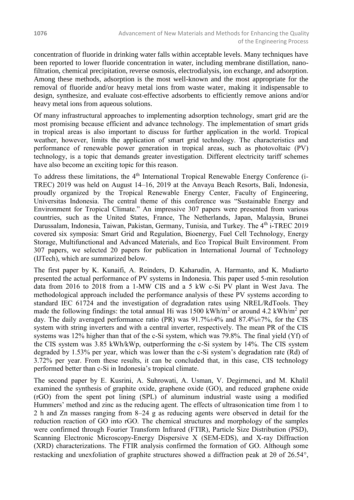concentration of fluoride in drinking water falls within acceptable levels. Many techniques have been reported to lower fluoride concentration in water, including membrane distillation, nanofiltration, chemical precipitation, reverse osmosis, electrodialysis, ion exchange, and adsorption. Among these methods, adsorption is the most well-known and the most appropriate for the removal of fluoride and/or heavy metal ions from waste water, making it indispensable to design, synthesize, and evaluate cost-effective adsorbents to efficiently remove anions and/or heavy metal ions from aqueous solutions.

Of many infrastructural approaches to implementing adsorption technology, smart grid are the most promising because efficient and advance technology. The implementation of smart grids in tropical areas is also important to discuss for further application in the world. Tropical weather, however, limits the application of smart grid technology. The characteristics and performance of renewable power generation in tropical areas, such as photovoltaic (PV) technology, is a topic that demands greater investigation. Different electricity tariff schemes have also become an exciting topic for this reason.

To address these limitations, the 4<sup>th</sup> International Tropical Renewable Energy Conference (i-TREC) 2019 was held on August 14–16, 2019 at the Anvaya Beach Resorts, Bali, Indonesia, proudly organized by the Tropical Renewable Energy Center, Faculty of Engineering, Universitas Indonesia. The central theme of this conference was "Sustainable Energy and Environment for Tropical Climate." An impressive 307 papers were presented from various countries, such as the United States, France, The Netherlands, Japan, Malaysia, Brunei Darussalam, Indonesia, Taiwan, Pakistan, Germany, Tunisia, and Turkey. The 4<sup>th</sup> i-TREC 2019 covered six symposia: Smart Grid and Regulation, Bioenergy, Fuel Cell Technology, Energy Storage, Multifunctional and Advanced Materials, and Eco Tropical Built Environment. From 307 papers, we selected 20 papers for publication in International Journal of Technology (IJTech), which are summarized below.

The first paper by K. Kunaifi, A. Reinders, D. Kaharudin, A. Harmanto, and K. Mudiarto presented the actual performance of PV systems in Indonesia. This paper used 5-min resolution data from 2016 to 2018 from a 1-MW CIS and a 5 kW c-Si PV plant in West Java. The methodological approach included the performance analysis of these PV systems according to standard IEC 61724 and the investigation of degradation rates using NREL/RdTools. They made the following findings: the total annual Hi was  $1500 \text{ kWh/m}^2$  or around  $4.2 \text{ kWh/m}^2$  per day. The daily averaged performance ratio (PR) was  $91.7\% \pm 4\%$  and  $87.4\% \pm 7\%$ , for the CIS system with string inverters and with a central inverter, respectively. The mean PR of the CIS systems was 12% higher than that of the c-Si system, which was 79.8%. The final yield (Yf) of the CIS system was 3.85 kWh/kWp, outperforming the c-Si system by 14%. The CIS system degraded by 1.53% per year, which was lower than the c-Si system's degradation rate (Rd) of 3.72% per year. From these results, it can be concluded that, in this case, CIS technology performed better than c-Si in Indonesia's tropical climate.

The second paper by E. Kusrini, A. Suhrowati, A. Usman, V. Degirmenci, and M. Khalil examined the synthesis of graphite oxide, graphene oxide (GO), and reduced graphene oxide (rGO) from the spent pot lining (SPL) of aluminum industrial waste using a modified Hummers' method and zinc as the reducing agent. The effects of ultrasonication time from 1 to 2 h and Zn masses ranging from 8–24 g as reducing agents were observed in detail for the reduction reaction of GO into rGO. The chemical structures and morphology of the samples were confirmed through Fourier Transform Infrared (FTIR), Particle Size Distribution (PSD), Scanning Electronic Microscopy-Energy Dispersive X (SEM-EDS), and X-ray Diffraction (XRD) characterizations. The FTIR analysis confirmed the formation of GO. Although some restacking and unexfoliation of graphite structures showed a diffraction peak at 2θ of 26.54,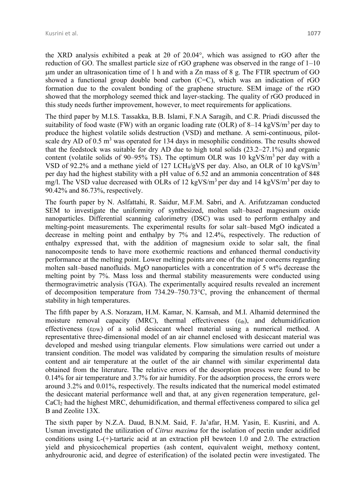the XRD analysis exhibited a peak at 2 $\theta$  of 20.04°, which was assigned to rGO after the reduction of GO. The smallest particle size of rGO graphene was observed in the range of 1–10 m under an ultrasonication time of 1 h and with a Zn mass of 8 g. The FTIR spectrum of GO showed a functional group double bond carbon  $(C=C)$ , which was an indication of rGO formation due to the covalent bonding of the graphene structure. SEM image of the rGO showed that the morphology seemed thick and layer-stacking. The quality of rGO produced in this study needs further improvement, however, to meet requirements for applications.

The third paper by M.I.S. Tassakka, B.B. Islami, F.N.A Saragih, and C.R. Priadi discussed the suitability of food waste (FW) with an organic loading rate (OLR) of 8–14 kgVS/ $m<sup>3</sup>$  per day to produce the highest volatile solids destruction (VSD) and methane. A semi-continuous, pilotscale dry AD of  $0.5 \text{ m}^3$  was operated for 134 days in mesophilic conditions. The results showed that the feedstock was suitable for dry AD due to high total solids (23.2–27.1%) and organic content (volatile solids of  $90-95\%$  TS). The optimum OLR was 10 kgVS/m<sup>3</sup> per day with a VSD of 92.2% and a methane yield of 127 LCH4/gVS per day. Also, an OLR of 10 kgVS/m<sup>3</sup> per day had the highest stability with a pH value of 6.52 and an ammonia concentration of 848 mg/l. The VSD value decreased with OLRs of 12 kgVS/ $m<sup>3</sup>$  per day and 14 kgVS/ $m<sup>3</sup>$  per day to 90.42% and 86.73%, respectively.

The fourth paper by N. Aslfattahi, R. Saidur, M.F.M. Sabri, and A. Arifutzzaman conducted SEM to investigate the uniformity of synthesized, molten salt–based magnesium oxide nanoparticles. Differential scanning calorimetry (DSC) was used to perform enthalpy and melting-point measurements. The experimental results for solar salt–based MgO indicated a decrease in melting point and enthalpy by 7% and 12.4%, respectively. The reduction of enthalpy expressed that, with the addition of magnesium oxide to solar salt, the final nanocomposite tends to have more exothermic reactions and enhanced thermal conductivity performance at the melting point. Lower melting points are one of the major concerns regarding molten salt–based nanofluids. MgO nanoparticles with a concentration of 5 wt% decrease the melting point by 7%. Mass loss and thermal stability measurements were conducted using thermogravimetric analysis (TGA). The experimentally acquired results revealed an increment of decomposition temperature from 734.29–750.73°C, proving the enhancement of thermal stability in high temperatures.

The fifth paper by A.S. Norazam, H.M. Kamar, N. Kamsah, and M.I. Alhamid determined the moisture removal capacity (MRC), thermal effectiveness  $(\epsilon_{th})$ , and dehumidification effectiveness  $(\epsilon_{DW})$  of a solid desiccant wheel material using a numerical method. A representative three-dimensional model of an air channel enclosed with desiccant material was developed and meshed using triangular elements. Flow simulations were carried out under a transient condition. The model was validated by comparing the simulation results of moisture content and air temperature at the outlet of the air channel with similar experimental data obtained from the literature. The relative errors of the desorption process were found to be 0.14% for air temperature and 3.7% for air humidity. For the adsorption process, the errors were around 3.2% and 0.01%, respectively. The results indicated that the numerical model estimated the desiccant material performance well and that, at any given regeneration temperature, gel-CaCl<sup>2</sup> had the highest MRC, dehumidification, and thermal effectiveness compared to silica gel B and Zeolite 13X.

The sixth paper by N.Z.A. Daud, B.N.M. Said, F. Ja'afar, H.M. Yasin, E. Kusrini, and A. Usman investigated the utilization of *Citrus maxima* for the isolation of pectin under acidified conditions using L-(+)-tartaric acid at an extraction pH bewteen 1.0 and 2.0. The extraction yield and physicochemical properties (ash content, equivalent weight, methoxy content, anhydrouronic acid, and degree of esterification) of the isolated pectin were investigated. The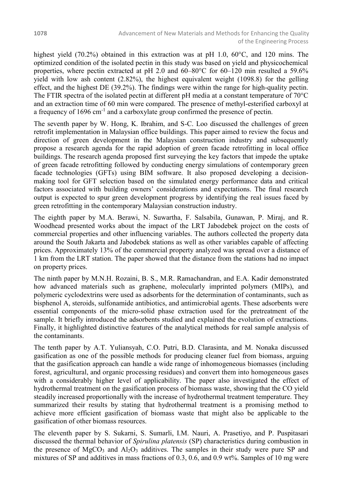highest yield (70.2%) obtained in this extraction was at pH 1.0, 60°C, and 120 mins. The optimized condition of the isolated pectin in this study was based on yield and physicochemical properties, where pectin extracted at pH 2.0 and 60–80°C for 60–120 min resulted a 59.6% yield with low ash content (2.82%), the highest equivalent weight (1098.8) for the gelling effect, and the highest DE (39.2%). The findings were within the range for high-quality pectin. The FTIR spectra of the isolated pectin at different pH media at a constant temperature of 70<sup>o</sup>C and an extraction time of 60 min were compared. The presence of methyl-esterified carboxyl at a frequency of  $1696 \text{ cm}^{-1}$  and a carboxylate group confirmed the presence of pectin.

The seventh paper by W. Hong, K. Ibrahim, and S-C. Loo discussed the challenges of green retrofit implementation in Malaysian office buildings. This paper aimed to review the focus and direction of green development in the Malaysian construction industry and subsequently propose a research agenda for the rapid adoption of green facade retrofitting in local office buildings. The research agenda proposed first surveying the key factors that impede the uptake of green facade retrofitting followed by conducting energy simulations of contemporary green facade technologies (GFTs) using BIM software. It also proposed developing a decisionmaking tool for GFT selection based on the simulated energy performance data and critical factors associated with building owners' considerations and expectations. The final research output is expected to spur green development progress by identifying the real issues faced by green retrofitting in the contemporary Malaysian construction industry.

The eighth paper by M.A. Berawi, N. Suwartha, F. Salsabila, Gunawan, P. Miraj, and R. Woodhead presented works about the impact of the LRT Jabodebek project on the costs of commercial properties and other influencing variables. The authors collected the property data around the South Jakarta and Jabodebek stations as well as other variables capable of affecting prices. Approximately 13% of the commercial property analyzed was spread over a distance of 1 km from the LRT station. The paper showed that the distance from the stations had no impact on property prices.

The ninth paper by M.N.H. Rozaini, B. S., M.R. Ramachandran, and E.A. Kadir demonstrated how advanced materials such as graphene, molecularly imprinted polymers (MIPs), and polymeric cyclodextrins were used as adsorbents for the determination of contaminants, such as bisphenol A, steroids, sulfonamide antibiotics, and antimicrobial agents. These adsorbents were essential components of the micro-solid phase extraction used for the pretreatment of the sample. It briefly introduced the adsorbents studied and explained the evolution of extractions. Finally, it highlighted distinctive features of the analytical methods for real sample analysis of the contaminants.

The tenth paper by A.T. Yuliansyah, C.O. Putri, B.D. Clarasinta, and M. Nonaka discussed gasification as one of the possible methods for producing cleaner fuel from biomass, arguing that the gasification approach can handle a wide range of inhomogeneous biomasses (including forest, agricultural, and organic processing residues) and convert them into homogeneous gases with a considerably higher level of applicability. The paper also investigated the effect of hydrothermal treatment on the gasification process of biomass waste, showing that the CO yield steadily increased proportionally with the increase of hydrothermal treatment temperature. They summarized their results by stating that hydrothermal treatment is a promising method to achieve more efficient gasification of biomass waste that might also be applicable to the gasification of other biomass resources.

The eleventh paper by S. Sukarni, S. Sumarli, I.M. Nauri, A. Prasetiyo, and P. Puspitasari discussed the thermal behavior of *Spirulina platensis* (SP) characteristics during combustion in the presence of  $MgCO<sub>3</sub>$  and  $Al<sub>2</sub>O<sub>3</sub>$  additives. The samples in their study were pure SP and mixtures of SP and additives in mass fractions of 0.3, 0.6, and 0.9 wt%. Samples of 10 mg were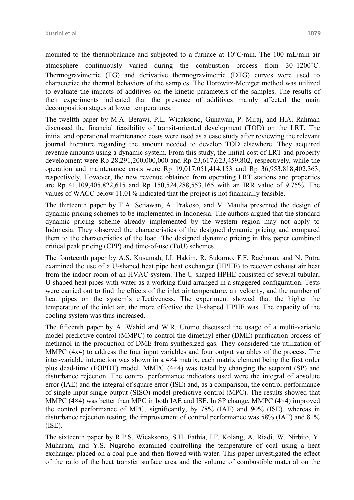mounted to the thermobalance and subjected to a furnace at 10°C/min. The 100 mL/min air atmosphere continuously varied during the combustion process from 30–1200°C. Thermogravimetric (TG) and derivative thermogravimetric (DTG) curves were used to characterize the thermal behaviors of the samples. The Horowitz-Metzger method was utilized to evaluate the impacts of additives on the kinetic parameters of the samples. The results of their experiments indicated that the presence of additives mainly affected the main decomposition stages at lower temperatures.

The twelfth paper by M.A. Berawi, P.L. Wicaksono, Gunawan, P. Miraj, and H.A. Rahman discussed the financial feasibility of transit-oriented development (TOD) on the LRT. The initial and operational maintenance costs were used as a case study after reviewing the relevant journal literature regarding the amount needed to develop TOD elsewhere. They acquired revenue amounts using a dynamic system. From this study, the initial cost of LRT and property development were Rp 28,291,200,000,000 and Rp 23,617,623,459,802, respectively, while the operation and maintenance costs were Rp 19,017,051,414,153 and Rp 36,953,818,402,363, respectively. However, the new revenue obtained from operating LRT stations and properties are Rp 41,109,405,822,615 and Rp 150,524,288,553,165 with an IRR value of 9.75%. The values of WACC below 11.01% indicated that the project is not financially feasible.

The thirteenth paper by E.A. Setiawan, A. Prakoso, and V. Maulia presented the design of dynamic pricing schemes to be implemented in Indonesia. The authors argued that the standard dynamic pricing scheme already implemented by the western region may not apply to Indonesia. They observed the characteristics of the designed dynamic pricing and compared them to the characteristics of the load. The designed dynamic pricing in this paper combined critical peak pricing (CPP) and time-of-use (ToU) schemes.

The fourteenth paper by A.S. Kusumah, I.I. Hakim, R. Sukarno, F.F. Rachman, and N. Putra examined the use of a U-shaped heat pipe heat exchanger (HPHE) to recover exhaust air heat from the indoor room of an HVAC system. The U-shaped HPHE consisted of several tubular, U-shaped heat pipes with water as a working fluid arranged in a staggered configuration. Tests were carried out to find the effects of the inlet air temperature, air velocity, and the number of heat pipes on the system's effectiveness. The experiment showed that the higher the temperature of the inlet air, the more effective the U-shaped HPHE was. The capacity of the cooling system was thus increased.

The fifteenth paper by A. Wahid and W.R. Utomo discussed the usage of a multi-variable model predictive control (MMPC) to control the dimethyl ether (DME) purification process of methanol in the production of DME from synthesized gas. They considered the utilization of MMPC (4x4) to address the four input variables and four output variables of the process. The inter-variable interaction was shown in a 4×4 matrix, each matrix element being the first order plus dead-time (FOPDT) model. MMPC (4×4) was tested by changing the setpoint (SP) and disturbance rejection. The control performance indicators used were the integral of absolute error (IAE) and the integral of square error (ISE) and, as a comparison, the control performance of single-input single-output (SISO) model predictive control (MPC). The results showed that MMPC (4×4) was better than MPC in both IAE and ISE. In SP change, MMPC (4×4) improved the control performance of MPC, significantly, by 78% (IAE) and 90% (ISE), whereas in disturbance rejection testing, the improvement of control performance was 58% (IAE) and 81% (ISE).

The sixteenth paper by R.P.S. Wicaksono, S.H. Fathia, I.F. Kolang, A. Riadi, W. Nirbito, Y. Muharam, and Y.S. Nugroho examined controlling the temperature of coal using a heat exchanger placed on a coal pile and then flowed with water. This paper investigated the effect of the ratio of the heat transfer surface area and the volume of combustible material on the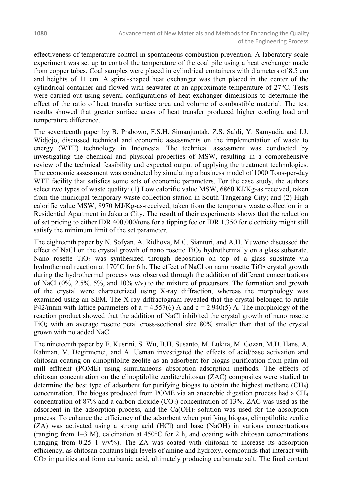effectiveness of temperature control in spontaneous combustion prevention. A laboratory-scale experiment was set up to control the temperature of the coal pile using a heat exchanger made from copper tubes. Coal samples were placed in cylindrical containers with diameters of 8.5 cm and heights of 11 cm. A spiral-shaped heat exchanger was then placed in the center of the cylindrical container and flowed with seawater at an approximate temperature of 27°C. Tests were carried out using several configurations of heat exchanger dimensions to determine the effect of the ratio of heat transfer surface area and volume of combustible material. The test results showed that greater surface areas of heat transfer produced higher cooling load and temperature difference.

The seventeenth paper by B. Prabowo, F.S.H. Simanjuntak, Z.S. Saldi, Y. Samyudia and I.J. Widjojo, discussed technical and economic assessments on the implementation of waste to energy (WTE) technology in Indonesia. The technical assessment was conducted by investigating the chemical and physical properties of MSW, resulting in a comprehensive review of the technical feasibility and expected output of applying the treatment technologies. The economic assessment was conducted by simulating a business model of 1000 Tons-per-day WTE facility that satisfies some sets of economic parameters. For the case study, the authors select two types of waste quality: (1) Low calorific value MSW, 6860 KJ/Kg-as received, taken from the municipal temporary waste collection station in South Tangerang City; and (2) High calorific value MSW, 8970 MJ/Kg-as-received, taken from the temporary waste collection in a Residential Apartment in Jakarta City. The result of their experiments shows that the reduction of set pricing to either IDR 400,000/tons for a tipping fee or IDR 1,350 for electricity might still satisfy the minimum limit of the set parameter.

The eighteenth paper by N. Sofyan, A. Ridhova, M.C. Sianturi, and A.H. Yuwono discussed the effect of NaCl on the crystal growth of nano rosette  $TiO<sub>2</sub>$  hydrothermally on a glass substrate. Nano rosette  $TiO<sub>2</sub>$  was synthesized through deposition on top of a glass substrate via hydrothermal reaction at 170 $\degree$ C for 6 h. The effect of NaCl on nano rosette TiO<sub>2</sub> crystal growth during the hydrothermal process was observed through the addition of different concentrations of NaCl  $(0\%, 2.5\%, 5\%, \text{ and } 10\% \text{ v/v})$  to the mixture of precursors. The formation and growth of the crystal were characterized using X-ray diffraction, whereas the morphology was examined using an SEM. The X-ray diffractogram revealed that the crystal belonged to rutile P42/mnm with lattice parameters of  $a = 4.557(6)$  Å and  $c = 2.940(5)$  Å. The morphology of the reaction product showed that the addition of NaCl inhibited the crystal growth of nano rosette TiO<sup>2</sup> with an average rosette petal cross-sectional size 80% smaller than that of the crystal grown with no added NaCl.

The nineteenth paper by E. Kusrini, S. Wu, B.H. Susanto, M. Lukita, M. Gozan, M.D. Hans, A. Rahman, V. Degirmenci, and A. Usman investigated the effects of acid/base activation and chitosan coating on clinoptilolite zeolite as an adsorbent for biogas purification from palm oil mill effluent (POME) using simultaneous absorption–adsorption methods. The effects of chitosan concentration on the clinoptilolite zeolite/chitosan (ZAC) composites were studied to determine the best type of adsorbent for purifying biogas to obtain the highest methane (CH4) concentration. The biogas produced from POME via an anaerobic digestion process had a CH<sup>4</sup> concentration of 87% and a carbon dioxide  $(CO_2)$  concentration of 13%. ZAC was used as the adsorbent in the adsorption process, and the  $Ca(OH)_2$  solution was used for the absorption process. To enhance the efficiency of the adsorbent when purifying biogas, clinoptilolite zeolite (ZA) was activated using a strong acid (HCl) and base (NaOH) in various concentrations (ranging from  $1-3$  M), calcination at  $450^{\circ}$ C for 2 h, and coating with chitosan concentrations (ranging from  $0.25-1$  v/v%). The ZA was coated with chitosan to increase its adsorption efficiency, as chitosan contains high levels of amine and hydroxyl compounds that interact with CO<sup>2</sup> impurities and form carbamic acid, ultimately producing carbamate salt. The final content